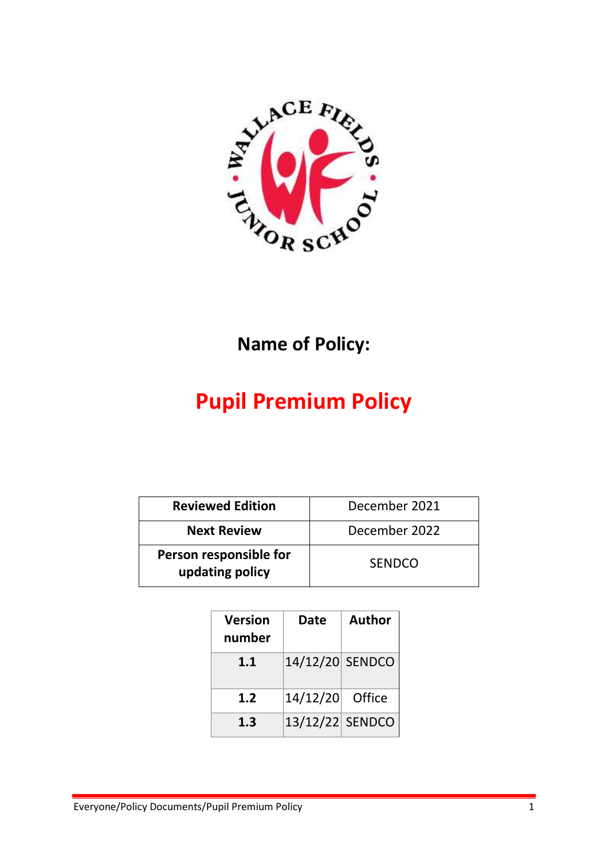

## **Name of Policy:**

# **Pupil Premium Policy**

| <b>Reviewed Edition</b>                   | December 2021 |
|-------------------------------------------|---------------|
| <b>Next Review</b>                        | December 2022 |
| Person responsible for<br>updating policy | <b>SENDCO</b> |

| <b>Version</b><br>number | <b>Date</b>     | <b>Author</b> |
|--------------------------|-----------------|---------------|
| 1.1                      | 14/12/20 SENDCO |               |
| 1.2                      | 14/12/20        | Office        |
| 1.3                      | 13/12/22 SENDCO |               |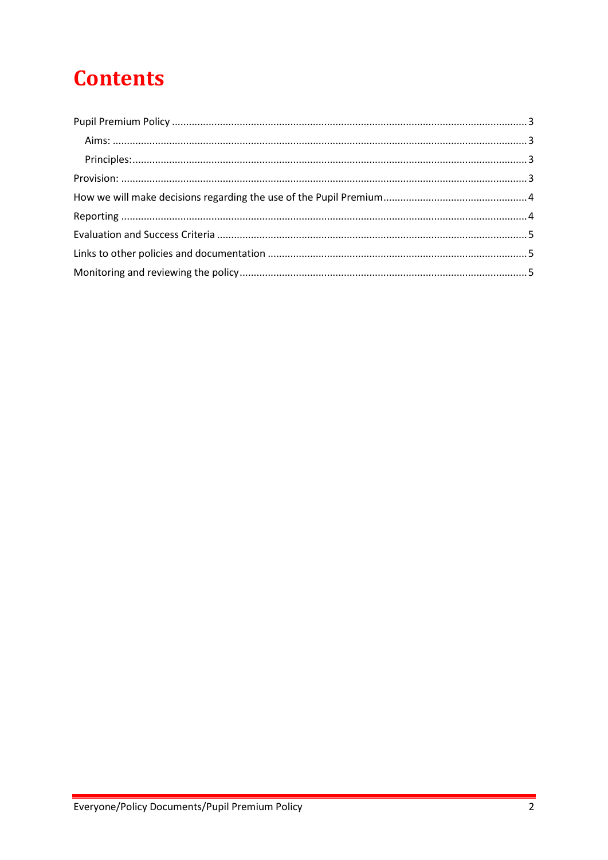# **Contents**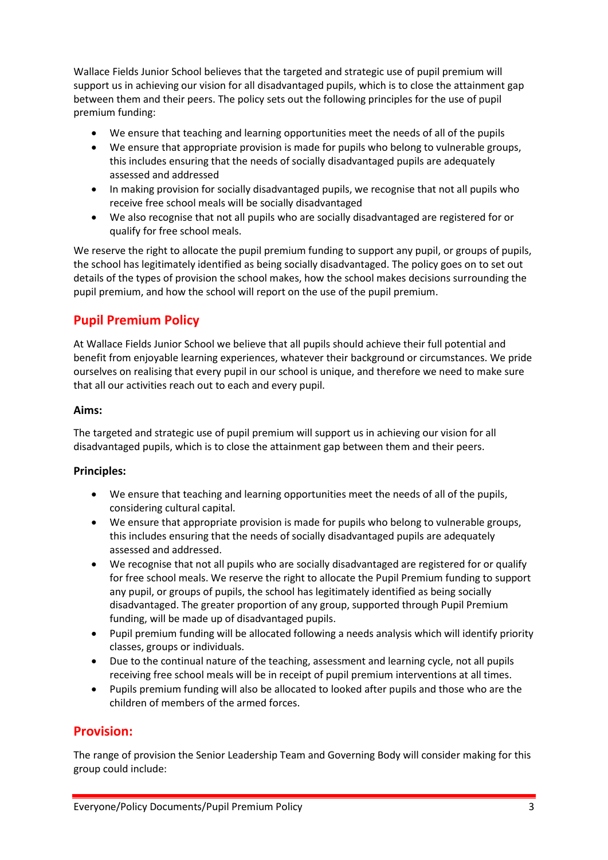Wallace Fields Junior School believes that the targeted and strategic use of pupil premium will support us in achieving our vision for all disadvantaged pupils, which is to close the attainment gap between them and their peers. The policy sets out the following principles for the use of pupil premium funding:

- We ensure that teaching and learning opportunities meet the needs of all of the pupils
- We ensure that appropriate provision is made for pupils who belong to vulnerable groups, this includes ensuring that the needs of socially disadvantaged pupils are adequately assessed and addressed
- In making provision for socially disadvantaged pupils, we recognise that not all pupils who receive free school meals will be socially disadvantaged
- We also recognise that not all pupils who are socially disadvantaged are registered for or qualify for free school meals.

We reserve the right to allocate the pupil premium funding to support any pupil, or groups of pupils, the school has legitimately identified as being socially disadvantaged. The policy goes on to set out details of the types of provision the school makes, how the school makes decisions surrounding the pupil premium, and how the school will report on the use of the pupil premium.

### <span id="page-2-0"></span>**Pupil Premium Policy**

At Wallace Fields Junior School we believe that all pupils should achieve their full potential and benefit from enjoyable learning experiences, whatever their background or circumstances. We pride ourselves on realising that every pupil in our school is unique, and therefore we need to make sure that all our activities reach out to each and every pupil.

#### <span id="page-2-1"></span>**Aims:**

The targeted and strategic use of pupil premium will support us in achieving our vision for all disadvantaged pupils, which is to close the attainment gap between them and their peers.

#### <span id="page-2-2"></span>**Principles:**

- We ensure that teaching and learning opportunities meet the needs of all of the pupils, considering cultural capital.
- We ensure that appropriate provision is made for pupils who belong to vulnerable groups, this includes ensuring that the needs of socially disadvantaged pupils are adequately assessed and addressed.
- We recognise that not all pupils who are socially disadvantaged are registered for or qualify for free school meals. We reserve the right to allocate the Pupil Premium funding to support any pupil, or groups of pupils, the school has legitimately identified as being socially disadvantaged. The greater proportion of any group, supported through Pupil Premium funding, will be made up of disadvantaged pupils.
- Pupil premium funding will be allocated following a needs analysis which will identify priority classes, groups or individuals.
- Due to the continual nature of the teaching, assessment and learning cycle, not all pupils receiving free school meals will be in receipt of pupil premium interventions at all times.
- Pupils premium funding will also be allocated to looked after pupils and those who are the children of members of the armed forces.

#### <span id="page-2-3"></span>**Provision:**

The range of provision the Senior Leadership Team and Governing Body will consider making for this group could include: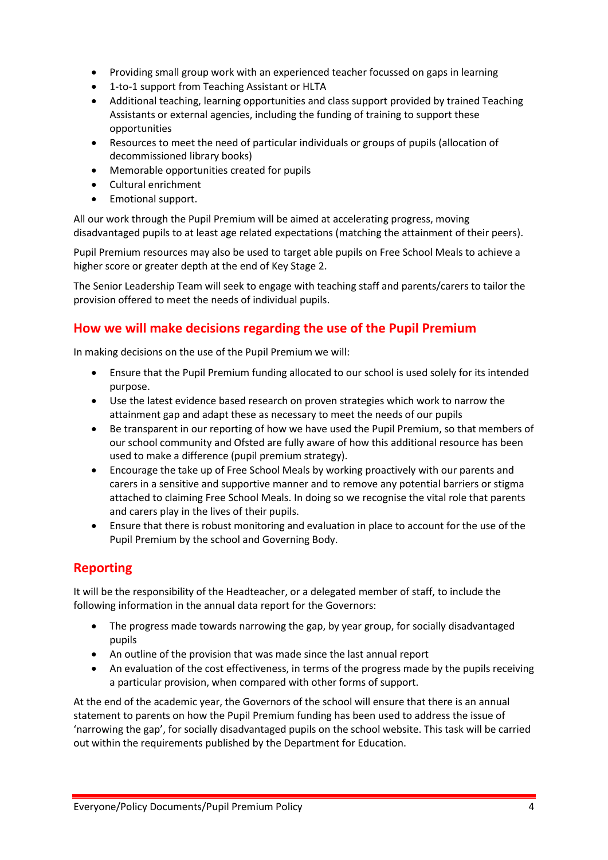- Providing small group work with an experienced teacher focussed on gaps in learning
- 1-to-1 support from Teaching Assistant or HLTA
- Additional teaching, learning opportunities and class support provided by trained Teaching Assistants or external agencies, including the funding of training to support these opportunities
- Resources to meet the need of particular individuals or groups of pupils (allocation of decommissioned library books)
- Memorable opportunities created for pupils
- Cultural enrichment
- Emotional support.

All our work through the Pupil Premium will be aimed at accelerating progress, moving disadvantaged pupils to at least age related expectations (matching the attainment of their peers).

Pupil Premium resources may also be used to target able pupils on Free School Meals to achieve a higher score or greater depth at the end of Key Stage 2.

The Senior Leadership Team will seek to engage with teaching staff and parents/carers to tailor the provision offered to meet the needs of individual pupils.

#### <span id="page-3-0"></span>**How we will make decisions regarding the use of the Pupil Premium**

In making decisions on the use of the Pupil Premium we will:

- Ensure that the Pupil Premium funding allocated to our school is used solely for its intended purpose.
- Use the latest evidence based research on proven strategies which work to narrow the attainment gap and adapt these as necessary to meet the needs of our pupils
- Be transparent in our reporting of how we have used the Pupil Premium, so that members of our school community and Ofsted are fully aware of how this additional resource has been used to make a difference (pupil premium strategy).
- Encourage the take up of Free School Meals by working proactively with our parents and carers in a sensitive and supportive manner and to remove any potential barriers or stigma attached to claiming Free School Meals. In doing so we recognise the vital role that parents and carers play in the lives of their pupils.
- Ensure that there is robust monitoring and evaluation in place to account for the use of the Pupil Premium by the school and Governing Body.

#### <span id="page-3-1"></span>**Reporting**

It will be the responsibility of the Headteacher, or a delegated member of staff, to include the following information in the annual data report for the Governors:

- The progress made towards narrowing the gap, by year group, for socially disadvantaged pupils
- An outline of the provision that was made since the last annual report
- An evaluation of the cost effectiveness, in terms of the progress made by the pupils receiving a particular provision, when compared with other forms of support.

At the end of the academic year, the Governors of the school will ensure that there is an annual statement to parents on how the Pupil Premium funding has been used to address the issue of 'narrowing the gap', for socially disadvantaged pupils on the school website. This task will be carried out within the requirements published by the Department for Education.